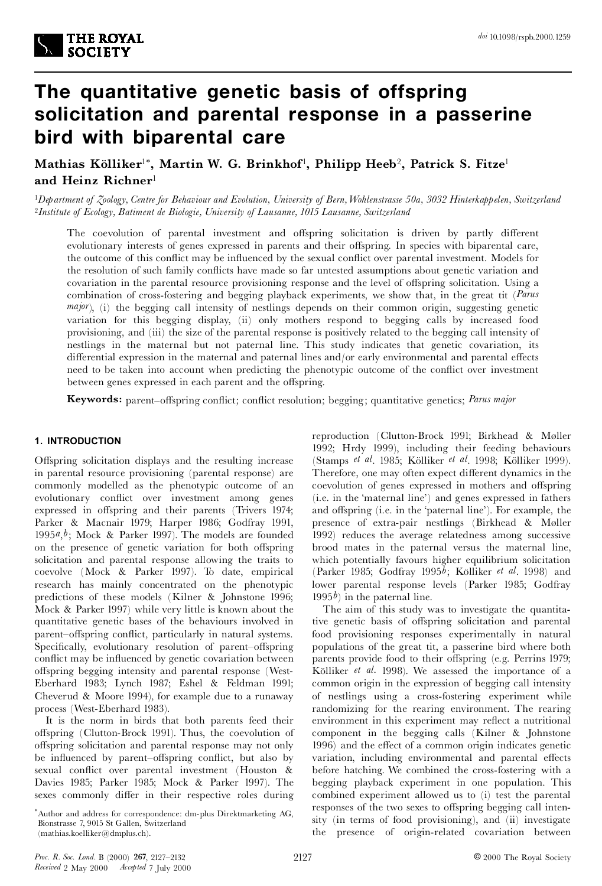# **The quantitative genetic basis of offspring solicitation and parental response in a passerine bird with biparental care**

 $\mathbf{M}$ athias  $\mathbf{K}$ ölliker $^{1*},\ \mathbf{M}$ artin $\mathbf{W}$ .  $\mathbf{G}$ . Brinkhof $^{1},\ \mathbf{P}$ hilipp Heeb $^{2},\ \mathbf{P}$ atrick  $\mathbf{S}.$  Fitze $^{1}$ **and Heinz Richner**<sup>1</sup>

<sup>1</sup>Department of Zoology, Centre for Behaviour and Evolution, University of Bern, Wohlenstrasse 50a, 3032 Hinterkappelen, Switzerland <sup>2</sup>*Institute of Ecology, Batiment de Biologie, University of Lausanne, 1015 Lausanne, Switzerland*

The coevolution of parental investment and offspring solicitation is driven by partly different evolutionary interests of genes expressed in parents and their offspring. In species with biparental care, the outcome of this conflict may be influenced by the sexual conflict over parental investment. Models for the resolution of such family conflicts have made so far untested assumptions about genetic variation and covariation in the parental resource provisioning response and the level of offspring solicitation. Using a combination of cross-fostering and begging playback experiments, we show that, in the great tit (*Parus major*), (i) the begging call intensity of nestlings depends on their common origin, suggesting genetic variation for this begging display, (ii) only mothers respond to begging calls by increased food provisioning, and (iii) the size of the parental response is positively related to the begging call intensity of nestlings in the maternal but not paternal line. This study indicates that genetic covariation, its differential expression in the maternal and paternal lines and/or early environmental and parental effects need to be taken into account when predicting the phenotypic outcome of the conflict over investment between genes expressed in each parent and the offspring.

**Keywords:** parent-offspring conflict; conflict resolution; begging; quantitative genetics; *Parus* major

# **1. INTRODUCTION**

Offspring solicitation displays and the resulting increase in parental resource provisioning (parental response) are commonly modelled as the phenotypic outcome of an evolutionary conflict over investment among genes expressed in offspring and their parents (Trivers 1974; Parker & Macnair 1979; Harper 1986; Godfray 1991, 1995*a*,*b*; Mock & Parker 1997). The models are founded on the presence of genetic variation for both offspring solicitation and parental response allowing the traits to coevolve (Mock & Parker 1997). To date, empirical research has mainly concentrated on the phenotypic predictions of these models (Kilner & Johnstone 1996; Mock & Parker 1997) while very little is known about the quantitative genetic bases of the behaviours involved in parent-offspring conflict, particularly in natural systems. Specifically, evolutionary resolution of parent-offspring conflict may be influenced by genetic covariation between offspring begging intensity and parental response (West-Eberhard 1983; Lynch 1987; Eshel & Feldman 1991; Cheverud & Moore 1994), for example due to a runaway process (West-Eberhard 1983).

It is the norm in birds that both parents feed their offspring (Clutton-Brock 1991). Thus, the coevolution of offspring solicitation and parental response may not only be influenced by parent-offspring conflict, but also by sexual conflict over parental investment (Houston & Davies 1985; Parker 1985; Mock & Parker 1997). The sexes commonly differ in their respective roles during

reproduction (Clutton-Brock 1991; Birkhead & Møller 1992; Hrdy 1999), including their feeding behaviours (Stamps *et al.* 1985; Kölliker *et al.* 1998; Kölliker 1999). Therefore, one may often expect different dynamics in the coevolution of genes expressed in mothers and offspring (i.e. in the `maternal line') and genes expressed in fathers and offspring (i.e. in the 'paternal line'). For example, the presence of extra-pair nestlings (Birkhead & Møller 1992) reduces the average relatedness among successive brood mates in the paternal versus the maternal line, which potentially favours higher equilibrium solicitation  $(Parker 1985; Godfray 1995<sup>b</sup>; Kölliker et al. 1998) and$ lower parental response levels (Parker 1985; Godfray 1995 $b$ ) in the paternal line.

The aim of this study was to investigate the quantitative genetic basis of offspring solicitation and parental food provisioning responses experimentally in natural populations of the great tit, a passerine bird where both parents provide food to their offspring (e.g. Perrins 1979; Kölliker *et al.* 1998). We assessed the importance of a common origin in the expression of begging call intensity of nestlings using a cross-fostering experiment while randomizing for the rearing environment. The rearing environment in this experiment may reflect a nutritional component in the begging calls (Kilner & Johnstone 1996) and the effect of a common origin indicates genetic variation, including environmental and parental effects before hatching. We combined the cross-fostering with a begging playback experiment in one population. This combined experiment allowed us to (i) test the parental responses of the two sexes to offspring begging call intensity (in terms of food provisioning), and (ii) investigate the presence of origin-related covariation between

<sup>\*</sup>Author and address for correspondence: dm-plus Direktmarketing AG, Bionstrasse 7, 9015 St Gallen, Switzerland (mathias.koelliker@dmplus.ch).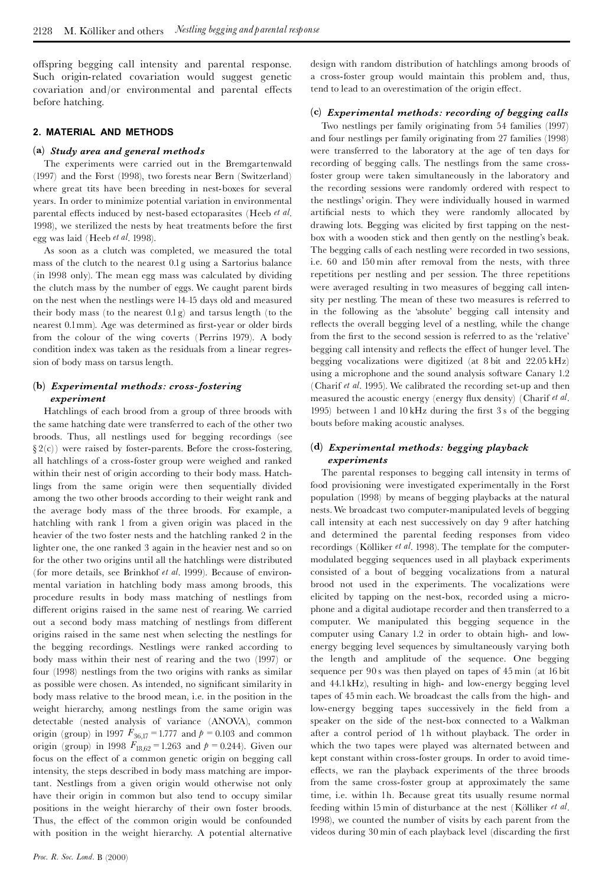offspring begging call intensity and parental response. Such origin-related covariation would suggest genetic  $covariation$  and/or environmental and parental effects before hatching.

#### **2. MATERIAL AND METHODS**

#### **(a)** *Study area and general methods*

The experiments were carried out in the Bremgartenwald (1997) and the Forst (1998), two forests near Bern (Switzerland) where great tits have been breeding in nest-boxes for several years. In order to minimize potential variation in environmental parental effects induced by nest-based ectoparasites (Heeb *et al.*) 1998), we sterilized the nests by heat treatments before the first egg was laid (Heeb *et al*. 1998).

As soon as a clutch was completed, we measured the total mass of the clutch to the nearest 0.1g using a Sartorius balance (in 1998 only). The mean egg mass was calculated by dividing the clutch mass by the number of eggs. We caught parent birds on the nest when the nestlings were 14^15 days old and measured their body mass (to the nearest 0.1g) and tarsus length (to the nearest 0.1mm). Age was determined as first-year or older birds from the colour of the wing coverts (Perrins 1979). A body condition index was taken as the residuals from a linear regression of body mass on tarsus length.

## **(b)** *Experimental methods: cross-fostering experiment*

Hatchlings of each brood from a group of three broods with the same hatching date were transferred to each of the other two broods. Thus, all nestlings used for begging recordings (see  $\S 2(c)$ ) were raised by foster-parents. Before the cross-fostering, all hatchlings of a cross-foster group were weighed and ranked within their nest of origin according to their body mass. Hatchlings from the same origin were then sequentially divided among the two other broods according to their weight rank and the average body mass of the three broods. For example, a hatchling with rank 1 from a given origin was placed in the heavier of the two foster nests and the hatchling ranked 2 in the lighter one, the one ranked 3 again in the heavier nest and so on for the other two origins until all the hatchlings were distributed (for more details, see Brinkhof *et al*. 1999). Because of environmental variation in hatchling body mass among broods, this procedure results in body mass matching of nestlings from different origins raised in the same nest of rearing. We carried out a second body mass matching of nestlings from different origins raised in the same nest when selecting the nestlings for the begging recordings. Nestlings were ranked according to body mass within their nest of rearing and the two (1997) or four (1998) nestlings from the two origins with ranks as similar as possible were chosen. As intended, no significant similarity in body mass relative to the brood mean, i.e. in the position in the weight hierarchy, among nestlings from the same origin was detectable (nested analysis of variance (ANOVA), common origin (group) in 1997  $F_{36,17} = 1.777$  and  $p = 0.103$  and common origin (group) in 1998  $F_{18,62} = 1.263$  and  $p = 0.244$ ). Given our focus on the effect of a common genetic origin on begging call intensity, the steps described in body mass matching are important. Nestlings from a given origin would otherwise not only have their origin in common but also tend to occupy similar positions in the weight hierarchy of their own foster broods. Thus, the effect of the common origin would be confounded with position in the weight hierarchy. A potential alternative

design with random distribution of hatchlings among broods of a cross-foster group would maintain this problem and, thus, tend to lead to an overestimation of the origin effect.

## **(c)** *Experimental methods: recording of begging calls*

Two nestlings per family originating from 54 families (1997) and four nestlings per family originating from 27 families (1998) were transferred to the laboratory at the age of ten days for recording of begging calls. The nestlings from the same crossfoster group were taken simultaneously in the laboratory and the recording sessions were randomly ordered with respect to the nestlings' origin. They were individually housed in warmed artificial nests to which they were randomly allocated by drawing lots. Begging was elicited by first tapping on the nestbox with a wooden stick and then gently on the nestling's beak. The begging calls of each nestling were recorded in two sessions, i.e. 60 and 150 min after removal from the nests, with three repetitions per nestling and per session. The three repetitions were averaged resulting in two measures of begging call intensity per nestling. The mean of these two measures is referred to in the following as the `absolute' begging call intensity and reflects the overall begging level of a nestling, while the change from the first to the second session is referred to as the 'relative' begging call intensity and reflects the effect of hunger level. The begging vocalizations were digitized (at 8 bit and 22.05 kHz) using a microphone and the sound analysis software Canary 1.2 (Charif *et al*. 1995). We calibrated the recording set-up and then measured the acoustic energy (energy flux density) (Charif *et al.*) 1995) between 1 and 10 kHz during the first 3 s of the begging bouts before making acoustic analyses.

#### **(d)** *Experimental methods: begging playback experiments*

The parental responses to begging call intensity in terms of food provisioning were investigated experimentally in the Forst population (1998) by means of begging playbacks at the natural nests.We broadcast two computer-manipulated levels of begging call intensity at each nest successively on day 9 after hatching and determined the parental feeding responses from video recordings (Kölliker *et al.* 1998). The template for the computermodulated begging sequences used in all playback experiments consisted of a bout of begging vocalizations from a natural brood not used in the experiments. The vocalizations were elicited by tapping on the nest-box, recorded using a microphone and a digital audiotape recorder and then transferred to a computer. We manipulated this begging sequence in the computer using Canary 1.2 in order to obtain high- and lowenergy begging level sequences by simultaneously varying both the length and amplitude of the sequence. One begging sequence per 90 swas then played on tapes of 45 min (at 16 bit and 44.1kHz), resulting in high- and low-energy begging level tapes of 45 min each. We broadcast the calls from the high- and low-energy begging tapes successively in the field from a speaker on the side of the nest-box connected to a Walkman after a control period of 1h without playback. The order in which the two tapes were played was alternated between and kept constant within cross-foster groups. In order to avoid timeeffects, we ran the playback experiments of the three broods from the same cross-foster group at approximately the same time, i.e. within 1h. Because great tits usually resume normal feeding within 15 min of disturbance at the nest (Kölliker *et al.*) 1998), we counted the number of visits by each parent from the videos during 30 min of each playback level (discarding the first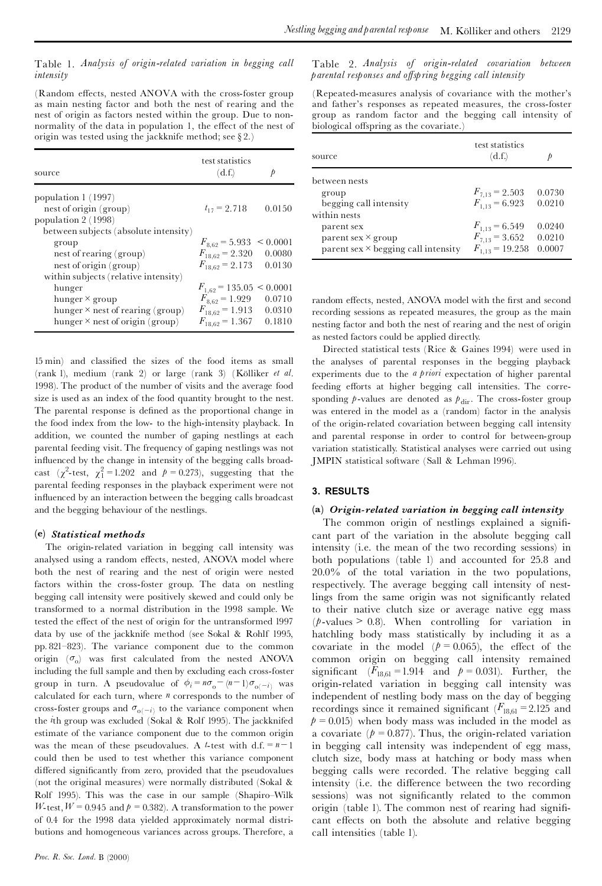## Table 1. *Analysis of origin-related variation in begging call intensity*

(Random effects, nested ANOVA with the cross-foster group as main nesting factor and both the nest of rearing and the nest of origin as factors nested within the group. Due to non normality of the data in population 1, the effect of the nest of origin was tested using the jackknife method; see § 2.)

| source                                  | test statistics<br>(d.f.)     | p      |
|-----------------------------------------|-------------------------------|--------|
| population 1 (1997)                     |                               |        |
| nest of origin (group)                  | $t_{17} = 2.718$              | 0.0150 |
| population 2 (1998)                     |                               |        |
| between subjects (absolute intensity)   |                               |        |
| group                                   | $F_{8,62} = 5.933 \le 0.0001$ |        |
| nest of rearing (group)                 | $F_{18.62} = 2.320$           | 0.0080 |
| nest of origin (group)                  | $F_{18,62} = 2.173$           | 0.0130 |
| within subjects (relative intensity)    |                               |        |
| hunger                                  | $F_{1,62}$ = 135.05 < 0.0001  |        |
| hunger $\times$ group                   | $F_{8,62} = 1.929$            | 0.0710 |
| hunger $\times$ nest of rearing (group) | $F_{18,62} = 1.913$           | 0.0310 |
| hunger $\times$ nest of origin (group)  | $F_{18.62} = 1.367$           | 0.1810 |

15 min) and classi¢ed the sizes of the food items as small (rank 1), medium (rank 2) or large (rank 3) (Kölliker et al. 1998). The product of the number of visits and the average food size is used as an index of the food quantity brought to the nest. The parental response is defined as the proportional change in the food index from the low- to the high-intensity playback. In addition, we counted the number of gaping nestlings at each parental feeding visit. The frequency of gaping nestlings was not influenced by the change in intensity of the begging calls broadcast  $(\chi^2$ -test,  $\chi_1^2 = 1.202$  and  $p = 0.273$ ), suggesting that the parental feeding responses in the playback experiment were not influenced by an interaction between the begging calls broadcast and the begging behaviour of the nestlings.

## **(e)** *Statistical methods*

The origin-related variation in begging call intensity was analysed using a random effects, nested, ANOVA model where both the nest of rearing and the nest of origin were nested factors within the cross-foster group. The data on nestling begging call intensity were positively skewed and could only be transformed to a normal distribution in the 1998 sample. We tested the effect of the nest of origin for the untransformed 1997 data by use of the jackknife method (see Sokal & Rohlf 1995, pp. 821-823). The variance component due to the common origin  $(\sigma_0)$  was first calculated from the nested ANOVA including the full sample and then by excluding each cross-foster group in turn. A pseudovalue of  $\phi_i = n\sigma_o - (n-1)\sigma_{o(-i)}$  was calculated for each turn, where *n* corresponds to the number of cross-foster groups and  $\sigma_{o(-i)}$  to the variance component when the *i*th group was excluded (Sokal & Rolf 1995). The jackknifed estimate of the variance component due to the common origin was the mean of these pseudovalues. A *t*-test with  $d.f. = n - 1$ could then be used to test whether this variance component differed significantly from zero, provided that the pseudovalues (not the original measures) were normally distributed (Sokal & Rolf 1995). This was the case in our sample (Shapiro-Wilk *W*-test,  $W = 0.945$  and  $p = 0.382$ . A transformation to the power of 0.4 for the 1998 data yielded approximately normal distributions and homogeneous variances across groups. Therefore, a

Table 2. *Analysis of origin-related covariation between parental responses and o¡spring begging call intensity*

(Repeated-measures analysis of covariance with the mother's and father's responses as repeated measures, the cross-foster group as random factor and the begging call intensity of biological offspring as the covariate.)

| source                                     | test statistics<br>(d.f.) |        |
|--------------------------------------------|---------------------------|--------|
| between nests                              |                           |        |
| group                                      | $F_{7,13} = 2.503$        | 0.0730 |
| begging call intensity                     | $F_{1.13} = 6.923$        | 0.0210 |
| within nests                               |                           |        |
| parent sex                                 | $F_{1,13} = 6.549$        | 0.0240 |
| parent sex $\times$ group                  | $F_{7,13} = 3.652$        | 0.0210 |
| parent sex $\times$ begging call intensity | $F_{1,13} = 19.258$       | 0.0007 |

random effects, nested, ANOVA model with the first and second recording sessions as repeated measures, the group as the main nesting factor and both the nest of rearing and the nest of origin as nested factors could be applied directly.

Directed statistical tests (Rice & Gaines 1994) were used in the analyses of parental responses in the begging playback experiments due to the *a priori* expectation of higher parental feeding efforts at higher begging call intensities. The corresponding  $p$ -values are denoted as  $p_{\text{dir}}$ . The cross-foster group was entered in the model as a (random) factor in the analysis of the origin-related covariation between begging call intensity and parental response in order to control for between-group variation statistically. Statistical analyses were carried out using JMPIN statistical software (Sall & Lehman 1996).

#### **3. RESULTS**

#### **(a)** *Origin-related variation in begging call intensity*

The common origin of nestlings explained a significant part of the variation in the absolute begging call intensity (i.e. the mean of the two recording sessions) in both populations (table 1) and accounted for 25.8 and 20.0% of the total variation in the two populations, respectively. The average begging call intensity of nestlings from the same origin was not significantly related to their native clutch size or average native egg mass  $(p$ -values  $> 0.8$ ). When controlling for variation in hatchling body mass statistically by including it as a covariate in the model  $(p = 0.065)$ , the effect of the common origin on begging call intensity remained significant  $(F_{18,61} = 1.914$  and  $p = 0.031$ ). Further, the origin-related variation in begging call intensity was independent of nestling body mass on the day of begging recordings since it remained significant  $(F_{18,61} = 2.125$  and  $p = 0.015$ ) when body mass was included in the model as a covariate  $(p = 0.877)$ . Thus, the origin-related variation in begging call intensity was independent of egg mass, clutch size, body mass at hatching or body mass when begging calls were recorded. The relative begging call intensity (i.e. the difference between the two recording sessions) was not significantly related to the common origin (table 1). The common nest of rearing had significant effects on both the absolute and relative begging call intensities (table 1).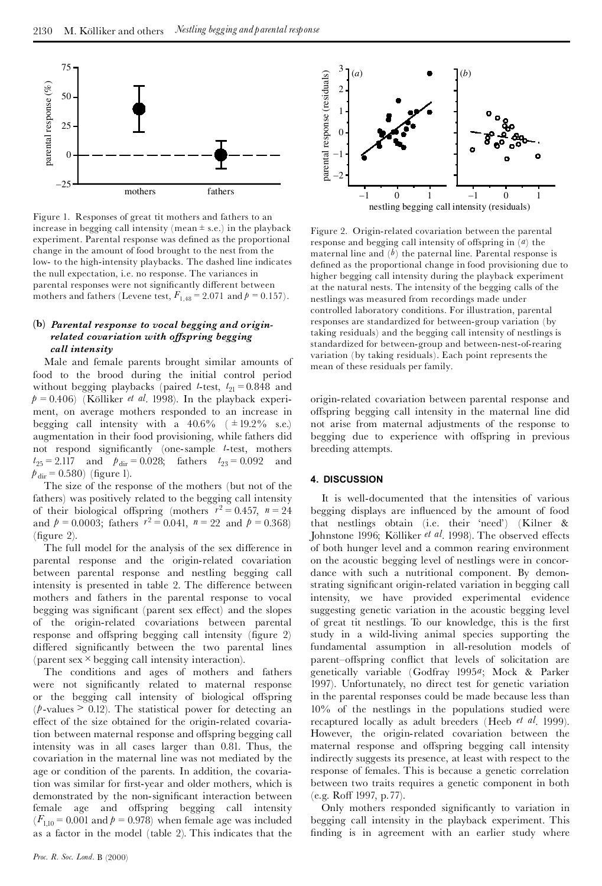

Figure 1. Responses of great tit mothers and fathers to an increase in begging call intensity (mean  $\pm$  s.e.) in the playback experiment. Parental response was defined as the proportional change in the amount of food brought to the nest from the low- to the high-intensity playbacks. The dashed line indicates the null expectation, i.e. no response. The variances in parental responses were not significantly different between mothers and fathers (Levene test,  $F_{1,48} = 2.071$  and  $p = 0.157$ ).

## **(b)** *Parental response to vocal begging and originrelated covariation with o¡spring begging call intensity*

Male and female parents brought similar amounts of food to the brood during the initial control period without begging playbacks (paired *t*-test,  $t_{21} = 0.848$  and  $p = 0.406$ ) (Kölliker *et al.* 1998). In the playback experiment, on average mothers responded to an increase in begging call intensity with a  $40.6\%$  ( $\pm 19.2\%$  s.e.) augmentation in their food provisioning, while fathers did not respond significantly (one-sample *t*-test, mothers  $t_{25} = 2.117$  and  $p_{\text{dir}} = 0.028$ ; fathers  $t_{23} = 0.092$  and  $p_{\text{dir}} = 0.580$ ) (figure 1).

The size of the response of the mothers (but not of the fathers) was positively related to the begging call intensity of their biological offspring (mothers  $r^2 = 0.457$ ,  $n = 24$ and  $p = 0.0003$ ; fathers  $r^2 = 0.041$ ,  $n = 22$  and  $p = 0.368$ )  $(figure 2)$ .

The full model for the analysis of the sex difference in parental response and the origin-related covariation between parental response and nestling begging call intensity is presented in table 2. The difference between mothers and fathers in the parental response to vocal begging was significant (parent sex effect) and the slopes of the origin-related covariations between parental response and offspring begging call intensity (figure  $2$ ) differed significantly between the two parental lines (parent sex  $\times$  begging call intensity interaction).

The conditions and ages of mothers and fathers were not significantly related to maternal response or the begging call intensity of biological offspring  $(p$ -values  $> 0.12$ ). The statistical power for detecting an effect of the size obtained for the origin-related covariation between maternal response and offspring begging call intensity was in all cases larger than 0.81. Thus, the covariation in the maternal line was not mediated by the age or condition of the parents. In addition, the covariation was similar for first-year and older mothers, which is demonstrated by the non-significant interaction between female age and offspring begging call intensity  $(F_{1,10} = 0.001$  and  $p = 0.978$ ) when female age was included as a factor in the model (table 2). This indicates that the



Figure 2. Origin-related covariation between the parental response and begging call intensity of offspring in  $(a)$  the maternal line and  $(b)$  the paternal line. Parental response is defined as the proportional change in food provisioning due to higher begging call intensity during the playback experiment at the natural nests. The intensity of the begging calls of the nestlings was measured from recordings made under controlled laboratory conditions. For illustration, parental responses are standardized for between-group variation (by taking residuals) and the begging call intensity of nestlings is standardized for between-group and between-nest-of-rearing variation (by taking residuals). Each point represents the mean of these residuals per family.

origin-related covariation between parental response and offspring begging call intensity in the maternal line did not arise from maternal adjustments of the response to begging due to experience with offspring in previous breeding attempts.

#### **4. DISCUSSION**

It is well-documented that the intensities of various begging displays are influenced by the amount of food that nestlings obtain (i.e. their `need') (Kilner & Johnstone 1996; Kölliker et al. 1998). The observed effects of both hunger level and a common rearing environment on the acoustic begging level of nestlings were in concor dance with such a nutritional component. By demonstrating signi¢cant origin-related variation in begging call intensity, we have provided experimental evidence suggesting genetic variation in the acoustic begging level of great tit nestlings. To our knowledge, this is the first study in a wild-living animal species supporting the fundamental assumption in all-resolution models of parent-offspring conflict that levels of solicitation are genetically variable (Godfray 1995*a*; Mock & Parker 1997). Unfortunately, no direct test for genetic variation in the parental responses could be made because less than 10% of the nestlings in the populations studied were recaptured locally as adult breeders (Heeb *et al*. 1999). However, the origin-related covariation between the maternal response and offspring begging call intensity indirectly suggests its presence, at least with respect to the response of females. This is because a genetic correlation between two traits requires a genetic component in both (e.g. Roff 1997, p.77).

Only mothers responded significantly to variation in begging call intensity in the playback experiment. This finding is in agreement with an earlier study where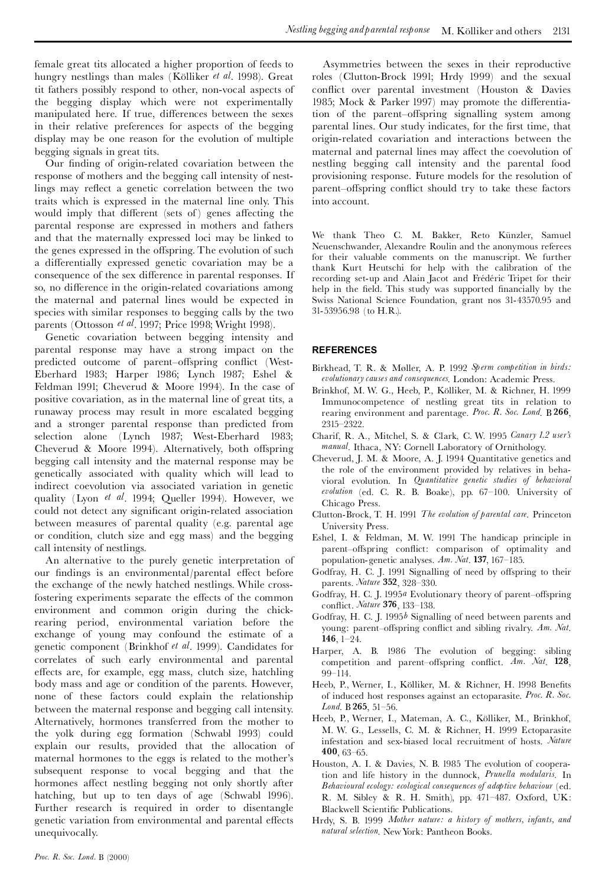female great tits allocated a higher proportion of feeds to hungry nestlings than males (Kölliker *et al.* 1998). Great tit fathers possibly respond to other, non-vocal aspects of the begging display which were not experimentally manipulated here. If true, differences between the sexes in their relative preferences for aspects of the begging display may be one reason for the evolution of multiple begging signals in great tits.

Our finding of origin-related covariation between the response of mothers and the begging call intensity of nestlings may reflect a genetic correlation between the two traits which is expressed in the maternal line only. This would imply that different (sets of) genes affecting the parental response are expressed in mothers and fathers and that the maternally expressed loci may be linked to the genes expressed in the offspring. The evolution of such a differentially expressed genetic covariation may be a consequence of the sex difference in parental responses. If so, no difference in the origin-related covariations among the maternal and paternal lines would be expected in species with similar responses to begging calls by the two parents (Ottosson *et al*. 1997; Price 1998; Wright 1998).

Genetic covariation between begging intensity and parental response may have a strong impact on the predicted outcome of parent-offspring conflict (West-Eberhard 1983; Harper 1986; Lynch 1987; Eshel & Feldman 1991; Cheverud & Moore 1994). In the case of positive covariation, as in the maternal line of great tits, a runaway process may result in more escalated begging and a stronger parental response than predicted from selection alone (Lynch 1987; West-Eberhard 1983; Cheverud & Moore 1994). Alternatively, both offspring begging call intensity and the maternal response may be genetically associated with quality which will lead to indirect coevolution via associated variation in genetic quality (Lyon *et al*. 1994; Queller 1994). However, we could not detect any significant origin-related association between measures of parental quality (e.g. parental age or condition, clutch size and egg mass) and the begging call intensity of nestlings.

An alternative to the purely genetic interpretation of our findings is an environmental/parental effect before the exchange of the newly hatched nestlings. While crossfostering experiments separate the effects of the common environment and common origin during the chickrearing period, environmental variation before the exchange of young may confound the estimate of a genetic component (Brinkhof *et al*. 1999). Candidates for correlates of such early environmental and parental effects are, for example, egg mass, clutch size, hatchling body mass and age or condition of the parents. However, none of these factors could explain the relationship between the maternal response and begging call intensity. Alternatively, hormones transferred from the mother to the yolk during egg formation (Schwabl 1993) could explain our results, provided that the allocation of maternal hormones to the eggs is related to the mother's subsequent response to vocal begging and that the hormones affect nestling begging not only shortly after hatching, but up to ten days of age (Schwabl 1996). Further research is required in order to disentangle genetic variation from environmental and parental effects unequivocally.

Asymmetries between the sexes in their reproductive roles (Clutton-Brock 1991; Hrdy 1999) and the sexual conflict over parental investment (Houston & Davies 1985; Mock & Parker 1997) may promote the differentiation of the parent-offspring signalling system among parental lines. Our study indicates, for the first time, that origin-related covariation and interactions between the maternal and paternal lines may affect the coevolution of nestling begging call intensity and the parental food provisioning response. Future models for the resolution of parent–offspring conflict should try to take these factors into account.

We thank Theo C. M. Bakker, Reto Künzler, Samuel Neuenschwander, Alexandre Roulin and the anonymous referees for their valuable comments on the manuscript. We further thank Kurt Heutschi for help with the calibration of the recording set-up and Alain Jacot and Frédéric Tripet for their help in the field. This study was supported financially by the Swiss National Science Foundation, grant nos 31-43570.95 and 31-53956.98 (to H.R.).

#### **REFERENCES**

- Birkhead, T. R. & MÖller, A. P. 1992 *Sperm competition in birds: evolutionarycauses and consequences*. London: Academic Press.
- Brinkhof, M. W. G., Heeb, P., Kölliker, M. & Richner, H. 1999 Immunocompetence of nestling great tits in relation to rearing environment and parentage. *Proc. R. Soc. Lond*. B **266**, 2315^2322.
- Charif, R. A., Mitchel, S. & Clark, C. W. 1995 *Canary 1.2 user's manual*. Ithaca, NY: Cornell Laboratory of Ornithology.
- Cheverud, J. M. & Moore, A. J. 1994 Quantitative genetics and the role of the environment provided by relatives in behavioral evolution. In *Quantitative genetic studies of behavioral evolution* (ed. C. R. B. Boake), pp. 67^100. University of Chicago Press.
- Clutton-Brock, T. H. 1991 *The evolution of parental care*. Princeton University Press.
- Eshel, I. & Feldman, M. W. 1991 The handicap principle in parent-offspring conflict: comparison of optimality and population-genetic analyses. *Am. Nat*. **137**, 167^185.
- Godfray, H. C. J. 1991 Signalling of need by offspring to their parents. *Nature* **352**, 328^330.
- Godfray, H. C. J. 1995*a* Evolutionary theory of parent-offspring con£ict. *Nature* **376**, 133^138.
- Godfray, H. C. J. 1995*b* Signalling of need between parents and young: parent-offspring conflict and sibling rivalry. *Am. Nat*. **146**, 1-24.
- Harper, A. B. 1986 The evolution of begging: sibling competition and parent-offspring conflict. *Am. Nat.* 128, 99^114.
- Heeb, P., Werner, I., Kölliker, M. & Richner, H. 1998 Benefits of induced host responses against an ectoparasite. *Proc. R. Soc. Lond*. B **265**, 51^56.
- Heeb, P., Werner, I., Mateman, A. C., Kölliker, M., Brinkhof, M. W. G., Lessells, C. M. & Richner, H. 1999 Ectoparasite infestation and sex-biased local recruitment of hosts. *Nature* **400**, 63^65.
- Houston, A. I. & Davies, N. B. 1985 The evolution of cooperation and life history in the dunnock, *Prunella modularis*. In *Behavioural ecology: ecological consequences of adaptive behaviour* (ed. R. M. Sibley & R. H. Smith), pp. 471^487. Oxford, UK: Blackwell Scientific Publications.
- Hrdy, S. B. 1999 *Mother nature: a history of mothers, infants, and natural selection*. NewYork: Pantheon Books.